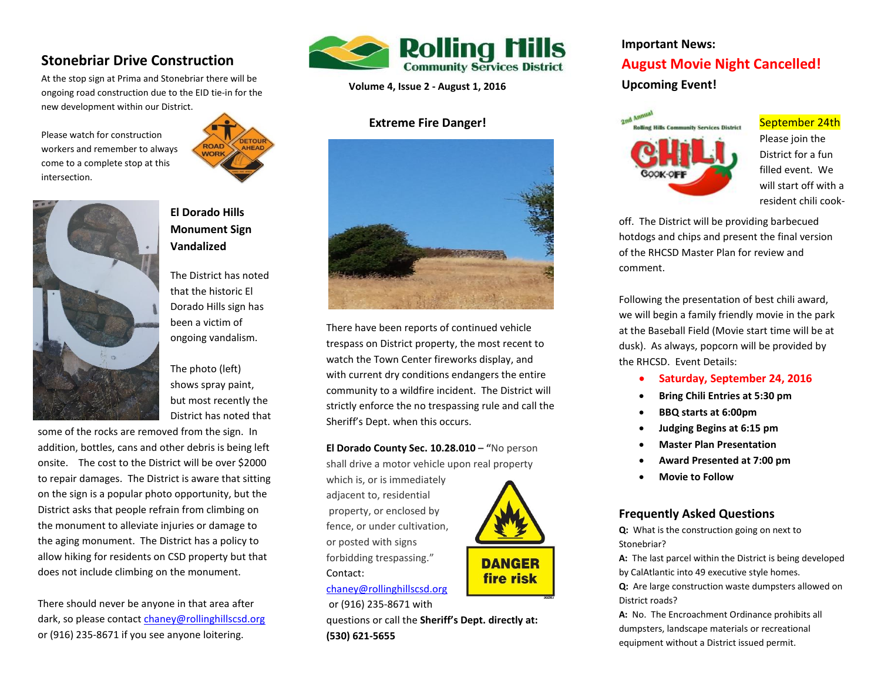# **Stonebriar Drive Construction**

At the stop sign at Prima and Stonebriar there will be ongoing road construction due to the EID tie-in for the new development within our Distric[t.](http://www.google.com/url?sa=i&rct=j&q=&esrc=s&source=images&cd=&cad=rja&uact=8&ved=0CAcQjRxqFQoTCNH2zODtj8cCFRMpiAodTuMKGg&url=http://www.clipartsheep.com/road-work-ahead-sign-clipart/dT1hSFIwY0RvdkwyTnZiWEJ6TG1kdlozSmhjR2d1WTI5dEwzSnZZV1F0ZDI5eWF5MWhhR1ZoWkMxemFXZHVYMmRuTmpJMk9EZzBOakF1YW5Cbnx3PTM1MHxoPTM3MHx0PWpwZWd8/&ei=k-nAVZHhD5PSoATOxqvQAQ&bvm=bv.99261572,d.cGU&psig=AFQjCNGPs9VLFHCyWAfI6rk7zkomC3vQZA&ust=1438792465706712) 

Please watch for construction workers and remember to always come to a complete stop at this intersection.





## **El Dorado Hills Monument Sign Vandalized**

The District has noted that the historic El Dorado Hills sign has been a victim of ongoing vandalism.

The photo (left) shows spray paint, but most recently the District has noted that

some of the rocks are removed from the sign. In addition, bottles, cans and other debris is being left onsite. The cost to the District will be over \$2000 to repair damages. The District is aware that sitting on the sign is a popular photo opportunity, but the District asks that people refrain from climbing on the monument to alleviate injuries or damage to the aging monument. The District has a policy to allow hiking for residents on CSD property but that does not include climbing on the monument.

There should never be anyone in that area after dark, so please contac[t chaney@rollinghillscsd.org](mailto:chaney@rollinghillscsd.org) or (916) 235-8671 if you see anyone loitering.



**Volume 4, Issue 2 - August 1, 2016**

## **Extreme Fire Danger!**



There have been reports of continued vehicle trespass on District property, the most recent to watch the Town Center fireworks display, and with current dry conditions endangers the entire community to a wildfire incident. The District will strictly enforce the no trespassing rule and call the Sheriff's Dept. when this occurs.

 **El Dorado County Sec. 10.28.010 – "**No person shall drive a motor vehicle upon real property

which is, or is immediately adjacent to, residential property, or enclosed by fence, or under cultivation, or posted with signs forbidding trespassing." Contact:

[chaney@rollinghillscsd.org](mailto:chaney@rollinghillscsd.org) or (916) 235-8671 with

 questions or call the **Sheriff's Dept. directly at: (530) 621-5655**

#### **Important News:**

# **August Movie Night Cancelled!**

**Upcoming Event!** 



#### September 24th

Please join the District for a fun filled event. We will start off with a resident chili cook-

off. The District will be providing barbecued hotdogs and chips and present the final version of the RHCSD Master Plan for review and comment.

Following the presentation of best chili award, we will begin a family friendly movie in the park at the Baseball Field (Movie start time will be at dusk). As always, popcorn will be provided by the RHCSD. Event Details:

- **Saturday, September 24, 2016**
- **•** Bring Chili Entries at 5:30 pm
- **BBQ starts at 6:00pm**
- **Judging Begins at 6:15 pm**
- **Master Plan Presentation**
- **Award Presented at 7:00 pm**
- **Movie to Follow**

## **Frequently Asked Questions**

**Q:** What is the construction going on next to Stonebriar?

**A:** The last parcel within the District is being developed by CalAtlantic into 49 executive style homes.

**Q:** Are large construction waste dumpsters allowed on District roads?

**A:** No. The Encroachment Ordinance prohibits all dumpsters, landscape materials or recreational equipment without a District issued permit.